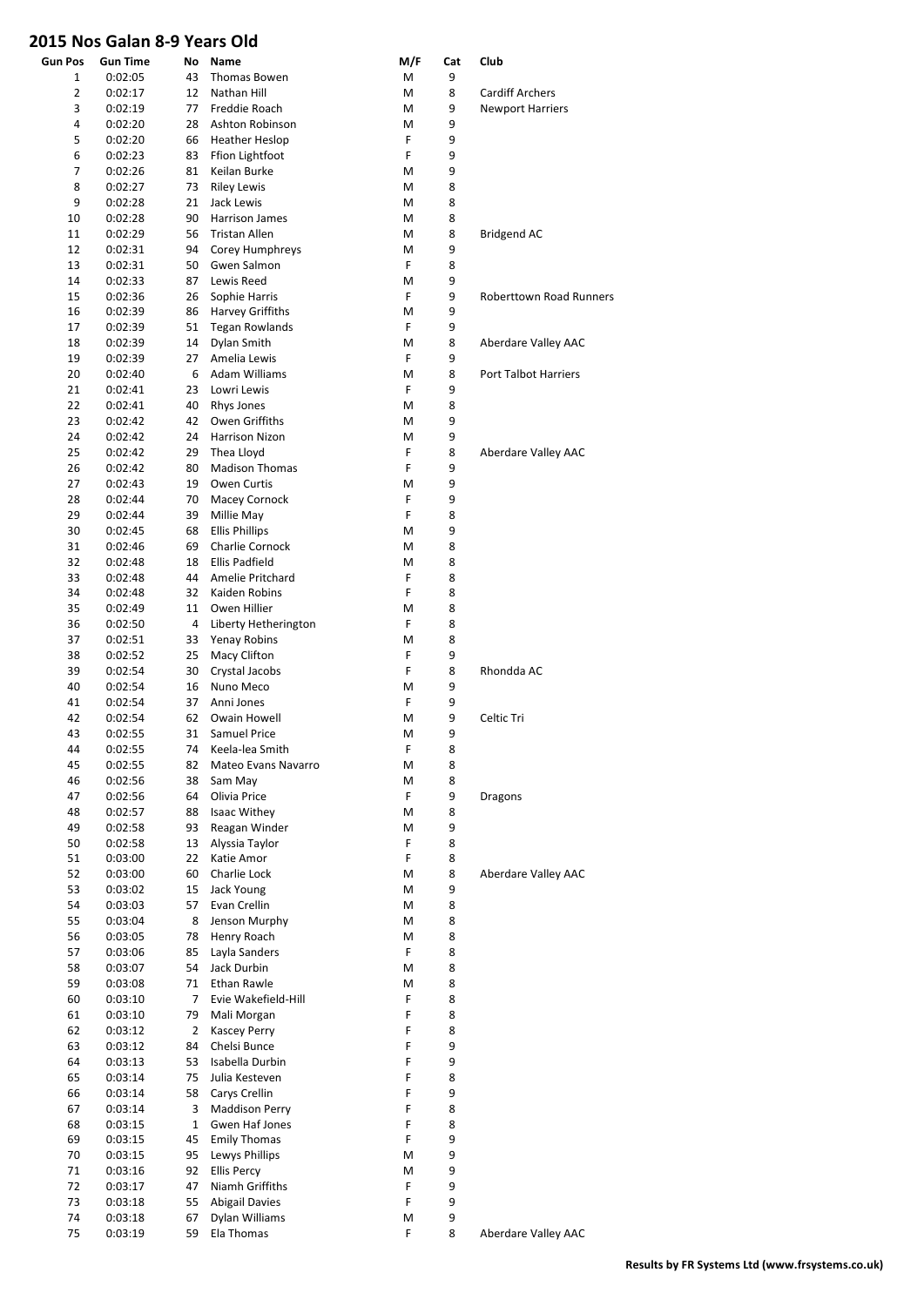## **2015 Nos Galan 8-9 Years Old**

| <b>Gun Pos</b> | <b>Gun Time</b> | No             | Name                   | M/F | Cat | Club                           |
|----------------|-----------------|----------------|------------------------|-----|-----|--------------------------------|
| 1              | 0:02:05         | 43             | Thomas Bowen           | M   | 9   |                                |
| $\overline{2}$ | 0:02:17         | 12             | Nathan Hill            | M   | 8   | <b>Cardiff Archers</b>         |
| 3              | 0:02:19         | 77             | Freddie Roach          | M   | 9   | <b>Newport Harriers</b>        |
| 4              | 0:02:20         | 28             | Ashton Robinson        | M   | 9   |                                |
| 5              | 0:02:20         | 66             | Heather Heslop         | F   | 9   |                                |
| 6              | 0:02:23         | 83             | Ffion Lightfoot        | F   | 9   |                                |
| 7              | 0:02:26         | 81             | Keilan Burke           | M   | 9   |                                |
| 8              | 0:02:27         | 73             | <b>Riley Lewis</b>     | М   | 8   |                                |
| 9              | 0:02:28         | 21             | Jack Lewis             | M   | 8   |                                |
| 10             | 0:02:28         | 90             | Harrison James         | М   | 8   |                                |
| 11             | 0:02:29         | 56             | <b>Tristan Allen</b>   | М   | 8   | <b>Bridgend AC</b>             |
| 12             | 0:02:31         | 94             | Corey Humphreys        | М   | 9   |                                |
| 13             | 0:02:31         | 50             | Gwen Salmon            | F   | 8   |                                |
| 14             | 0:02:33         | 87             | Lewis Reed             | M   | 9   |                                |
| 15             | 0:02:36         | 26             | Sophie Harris          | F   | 9   | <b>Roberttown Road Runners</b> |
| 16             | 0:02:39         | 86             | Harvey Griffiths       | M   | 9   |                                |
| 17             | 0:02:39         | 51             | <b>Tegan Rowlands</b>  | F   | 9   |                                |
| 18             | 0:02:39         | 14             | Dylan Smith            | M   | 8   | Aberdare Valley AAC            |
| 19             | 0:02:39         | 27             | Amelia Lewis           | F   | 9   |                                |
| 20             | 0:02:40         | 6              | <b>Adam Williams</b>   | M   | 8   | Port Talbot Harriers           |
| 21             | 0:02:41         | 23             | Lowri Lewis            | F   | 9   |                                |
| 22             | 0:02:41         | 40             | Rhys Jones             | М   | 8   |                                |
| 23             | 0:02:42         | 42             | Owen Griffiths         | M   | 9   |                                |
| 24             | 0:02:42         | 24             | Harrison Nizon         | М   | 9   |                                |
| 25             | 0:02:42         | 29             | Thea Lloyd             | F   | 8   | Aberdare Valley AAC            |
| 26             | 0:02:42         | 80             | <b>Madison Thomas</b>  | F   | 9   |                                |
| 27             | 0:02:43         | 19             | Owen Curtis            | M   | 9   |                                |
| 28             | 0:02:44         | 70             | Macey Cornock          | F   | 9   |                                |
| 29             | 0:02:44         | 39             | Millie May             | F   | 8   |                                |
| 30             | 0:02:45         | 68             | <b>Ellis Phillips</b>  | M   | 9   |                                |
| 31             | 0:02:46         | 69             | <b>Charlie Cornock</b> | M   | 8   |                                |
| 32             | 0:02:48         | 18             | Ellis Padfield         | М   | 8   |                                |
| 33             | 0:02:48         | 44             | Amelie Pritchard       | F   | 8   |                                |
| 34             | 0:02:48         | 32             | Kaiden Robins          | F   | 8   |                                |
| 35             | 0:02:49         | 11             | Owen Hillier           | М   | 8   |                                |
| 36             | 0:02:50         | 4              | Liberty Hetherington   | F   | 8   |                                |
| 37             | 0:02:51         | 33             | Yenay Robins           | M   | 8   |                                |
| 38             | 0:02:52         | 25             | Macy Clifton           | F   | 9   |                                |
| 39             | 0:02:54         | 30             | Crystal Jacobs         | F   | 8   | Rhondda AC                     |
| 40             | 0:02:54         | 16             | Nuno Meco              | M   | 9   |                                |
| 41             | 0:02:54         | 37             | Anni Jones             | F   | 9   |                                |
| 42             | 0:02:54         | 62             | Owain Howell           | M   | 9   | Celtic Tri                     |
| 43             | 0:02:55         | 31             | <b>Samuel Price</b>    | М   | 9   |                                |
| 44             | 0:02:55         | 74             | Keela-lea Smith        | F   | 8   |                                |
| 45             | 0:02:55         | 82             | Mateo Evans Navarro    | M   | 8   |                                |
| 46             | 0:02:56         | 38             | Sam May                | M   | 8   |                                |
| 47             | 0:02:56         | 64             | Olivia Price           | F   | 9   | Dragons                        |
| 48             | 0:02:57         | 88             | Isaac Withey           | M   | 8   |                                |
| 49             | 0:02:58         | 93             | Reagan Winder          | M   | 9   |                                |
| 50             | 0:02:58         | 13             | Alyssia Taylor         | F   | 8   |                                |
| 51             | 0:03:00         | 22             | Katie Amor             | F   | 8   |                                |
| 52             | 0:03:00         | 60             | Charlie Lock           | M   | 8   | Aberdare Valley AAC            |
| 53             | 0:03:02         | 15             | Jack Young             | M   | 9   |                                |
| 54             | 0:03:03         | 57             | Evan Crellin           | M   | 8   |                                |
| 55             | 0:03:04         | 8              | Jenson Murphy          | M   | 8   |                                |
| 56             | 0:03:05         | 78             | Henry Roach            | M   | 8   |                                |
| 57             | 0:03:06         | 85             | Layla Sanders          | F   | 8   |                                |
| 58             | 0:03:07         | 54             | Jack Durbin            | M   | 8   |                                |
| 59             | 0:03:08         | 71             | Ethan Rawle            | M   | 8   |                                |
| 60             | 0:03:10         | $\overline{7}$ | Evie Wakefield-Hill    | F   | 8   |                                |
| 61             | 0:03:10         | 79             | Mali Morgan            | F   | 8   |                                |
| 62             | 0:03:12         | $\overline{2}$ | <b>Kascey Perry</b>    | F   | 8   |                                |
| 63             | 0:03:12         | 84             | Chelsi Bunce           | F   | 9   |                                |
| 64             | 0:03:13         | 53             | Isabella Durbin        | F   | 9   |                                |
| 65             | 0:03:14         | 75             | Julia Kesteven         | F   | 8   |                                |
| 66             | 0:03:14         | 58             | Carys Crellin          | F   | 9   |                                |
| 67             | 0:03:14         | 3              | <b>Maddison Perry</b>  | F   | 8   |                                |
| 68             | 0:03:15         | $\mathbf 1$    | Gwen Haf Jones         | F   | 8   |                                |
| 69             | 0:03:15         | 45             | <b>Emily Thomas</b>    | F   | 9   |                                |
| 70             | 0:03:15         | 95             | Lewys Phillips         | M   | 9   |                                |
| 71             | 0:03:16         | 92             | <b>Ellis Percy</b>     | M   | 9   |                                |
| 72             | 0:03:17         | 47             | Niamh Griffiths        | F   | 9   |                                |
| 73             | 0:03:18         | 55             | <b>Abigail Davies</b>  | F   | 9   |                                |
| 74             | 0:03:18         | 67             | Dylan Williams         | M   | 9   |                                |
| 75             | 0:03:19         | 59             | Ela Thomas             | F   | 8   | Aberdare Valley AAC            |

**Results by FR Systems Ltd (www.frsystems.co.uk)**